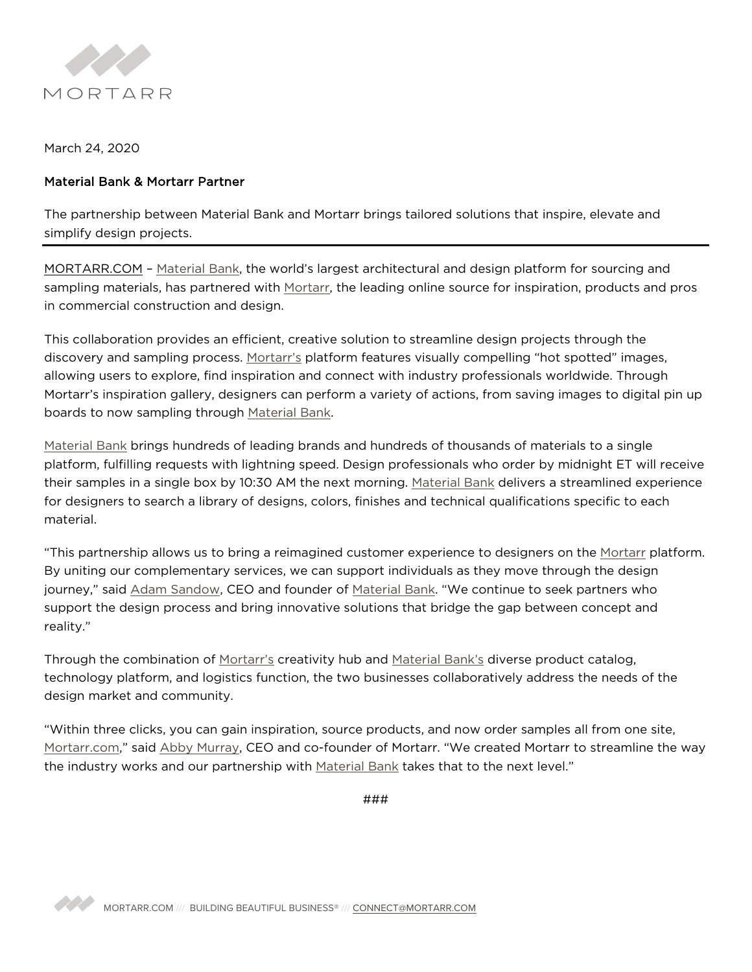

March 24, 2020

## Material Bank & Mortarr Partner

The partnership between Material Bank and Mortarr brings tailored solutions that inspire, elevate and simplify design projects.

MORTARR.COM – Material Bank, the world's largest architectural and design platform for sourcing and sampling materials, has partnered with Mortarr, the leading online source for inspiration, products and pros in commercial construction and design.

This collaboration provides an efficient, creative solution to streamline design projects through the discovery and sampling process. Mortarr's platform features visually compelling "hot spotted" images, allowing users to explore, find inspiration and connect with industry professionals worldwide. Through Mortarr's inspiration gallery, designers can perform a variety of actions, from saving images to digital pin up boards to now sampling through Material Bank.

Material Bank brings hundreds of leading brands and hundreds of thousands of materials to a single platform, fulfilling requests with lightning speed. Design professionals who order by midnight ET will receive their samples in a single box by 10:30 AM the next morning. Material Bank delivers a streamlined experience for designers to search a library of designs, colors, finishes and technical qualifications specific to each material.

"This partnership allows us to bring a reimagined customer experience to designers on the Mortarr platform. By uniting our complementary services, we can support individuals as they move through the design journey," said Adam Sandow, CEO and founder of Material Bank. "We continue to seek partners who support the design process and bring innovative solutions that bridge the gap between concept and reality."

Through the combination of Mortarr's creativity hub and Material Bank's diverse product catalog, technology platform, and logistics function, the two businesses collaboratively address the needs of the design market and community.

"Within three clicks, you can gain inspiration, source products, and now order samples all from one site, Mortarr.com," said Abby Murray, CEO and co-founder of Mortarr. "We created Mortarr to streamline the way the industry works and our partnership with Material Bank takes that to the next level."

###